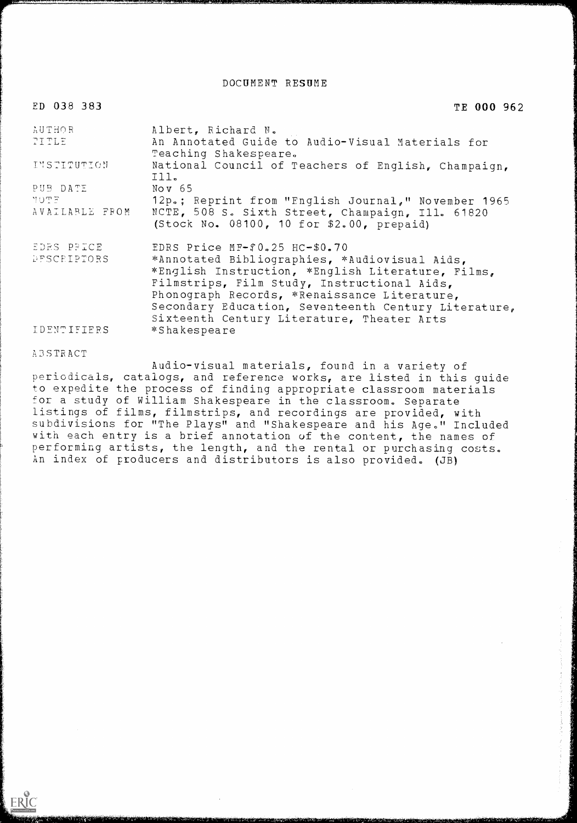DOCUMENT RESUME

### ED 038 383

TE 000 962

| <b>AUTHOR</b><br>TITLE        | Albert, Richard N.<br>An Annotated Guide to Audio-Visual Materials for                                                                                                                                                                                                                                                                   |
|-------------------------------|------------------------------------------------------------------------------------------------------------------------------------------------------------------------------------------------------------------------------------------------------------------------------------------------------------------------------------------|
| INSTITUTION                   | Teaching Shakespeare.<br>National Council of Teachers of English, Champaign,                                                                                                                                                                                                                                                             |
| PUB DATE                      | III.<br>Nov $65$                                                                                                                                                                                                                                                                                                                         |
| <b>ETOM</b><br>AVAILABLE FROM | 12p.; Reprint from "Fnglish Journal," November 1965<br>NCTE, 508 S. Sixth Street, Champaign, Ill. 61820<br>(Stock No. 08100, 10 for \$2.00, prepaid)                                                                                                                                                                                     |
| EDES PRICE<br>DESCRIPTORS     | EDRS Price MF-f0.25 HC-\$0.70<br>*Annotated Bibliographies, *Audiovisual Aids,<br>*English Instruction, *English Literature, Films,<br>Filmstrips, Film Study, Instructional Aids,<br>Phonograph Records, *Renaissance Literature,<br>Secondary Education, Seventeenth Century Literature,<br>Sixteenth Century Literature, Theater Arts |
| IDENTIFIERS                   | *Shakespeare                                                                                                                                                                                                                                                                                                                             |

**ABSTRACT** 

ERIC

periodic als, catalogs, and reference works, are listed in this guide to exped ite the process of finding appropriate classroom materials for a s udy of William Shakespeare in the classroom. Separate listing s of films, filmstrips, and recordings are provided, with subdivi sions for "The Plays" and "Shakespeare and his Age." Included with each entry is a brief annotation of the content, the names of performing artists, the length, and the rental or purchasing costs. An ind ex of producers and distributors is also provided. (JB)Audio-visual materials, found in a variety of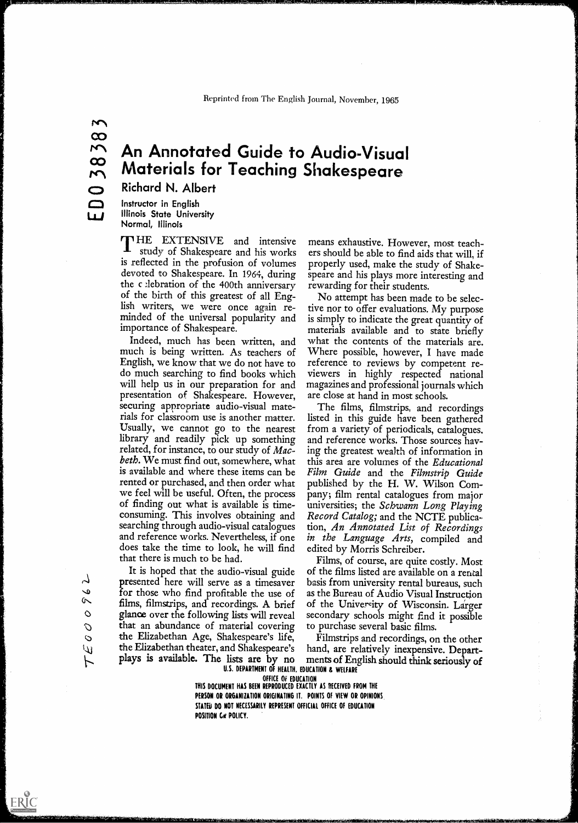# An Annotated Guide to Audio-Visual Materials for Teaching Shakespeare

Richard N. Albert

Instructor in English Illinois State University

Normal, Illinois<br>**T** HE EXTENSIVE and intensive study of Shakespeare and his works is reflected in the profusion of volumes devoted to Shakespeare. In 1964, during the c lebration of the 400th anniversary of the birth of this greatest of all Eng-<br>lish writers, we were once again reminded of the universal popularity and importance of Shakespeare.

Indeed, much has been written, and much is being written. As teachers of English, we know that we do not have to do much searching to find books which will help us in our preparation for and presentation of. Shakespeare. However, securing appropriate audio-visual materials for classroom use is another matter. Usually, we cannot go to the nearest library and readily pick up something related, for instance, to our study of Macbeth. We must find out, somewhere, what is available and where these items can be rented or purchased, and then order what we feel will be useful. Often, the process of finding out what is available is timeconsuming. This involves obtaining and searching through audio-visual catalogues and reference works. Nevertheless, if one does take the time to look, he will find that there is much to be had.

It is hoped that the audio-visual guide presented here will serve as a timesaver for those who find profitable the use of films, filmstrips, and recordings. A brief glance over the following lists will reveal that an abundance of material covering  $\circ$  the Elizabethan Age, Shakespeare's life, Lkj the Elizabethan theater, and Shakespeare's plays is available. The lists are by no

means exhaustive. However, most teachers should be able to find aids that will, if properly used, make the study of Shakespeare and his plays more interesting and rewarding for their students.

No attempt has been made to be selective nor to offer evaluations. My purpose is simply to indicate the great quantity of materials available and to state briefly what the contents of the materials are. Where possible, however, I have made reference to reviews by competent reviewers in highly respected national magazines and professional journals which are close at hand in most schools.

The films, filmstrips, and recordings listed in this guide have been gathered from a variety of periodicals, catalogues. and reference works. Those sources having the greatest wealth of information in this area are volumes of the Educational Film Guide and the Filmstrip Guide published by the H. W. Wilson Company; film rental catalogues from major universities; the Schwann Long Playing Record Catalog; and the NCTE publication, An Annotated List of Recordings in the Language Arts, compiled and edited by Morris Schreiber.

Films, of course, are quite costly. Most of the films listed are available on a rental basis from university rental bureaus, such as the Bureau of Audio Visual Instruction of the University of Wisconsin. Larger secondary schools might find it possible to purchase several basic films.

U.S. DEPARTMENT OF HEALTH, EDUCATION & WELFARE Filmstrips and recordings, on the other hand, are relatively inexpensive. Departments of English should think seriously of

OFFICE OF EDUCATION

THIS DOCUMENT HAS BEEN REPRODUCED EXACTLY AS RECEIVED FROM THE PERSON OR ORGANIZATION ORIGINATING IT. POINTS OF VIEW OR OPINIONS STATED DO NOT NECESSARILY REPRESENT OFFICIAL OFFICE OF EDUCATION POSITION GR POLICY.

ERIC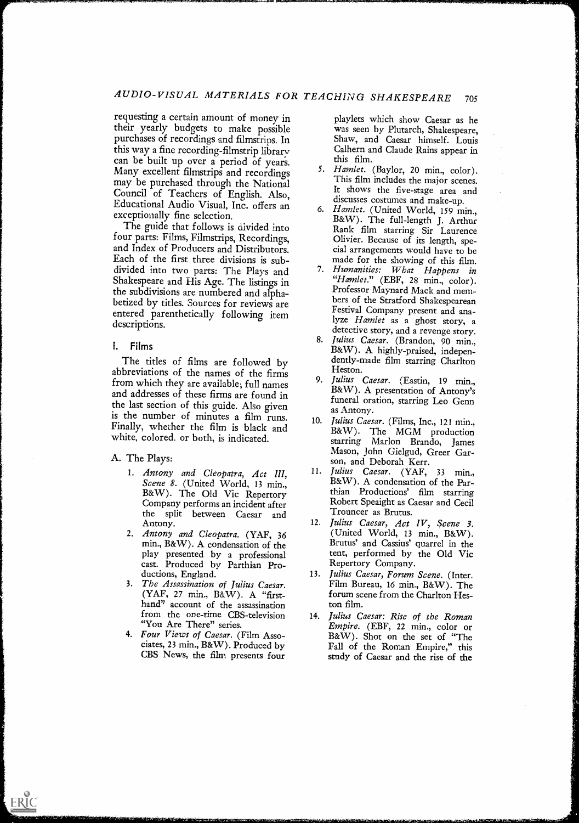requesting a certain amount of money in their yearly budgets to make possible purchases of recordings and filmstrips. In this way a fine recording-filmstrip library can be built up over a period of years. Many excellent filmstrips and recordings may be purchased through the National Council of Teachers of English. Also, Educational Audio Visual, Inc. offers an exceptionally fine selection.

The guide that follows is divided into Rank film starring Sir Laurence four parts: Films, Filmstrips, Recordings, and Index of Producers and Distributors. Each of the first three divisions is subdivided into two parts: The Plays and Shakespeare and His Age. The listings in the subdivisions are numbered and alphabetized by titles. Sources for reviews are entered parenthetically following item descriptions.

## V. Films

The titles of films are followed by abbreviations of the names of the firms from which they are available; full names and addresses of these firms are found in the last section of this guide. Also given is the number of minutes a film runs. Finally, whether the film is black and white, colored, or both, is indicated.

## A. The Plays:

ERIC

- 1. Antony and Cleopatra,  $Act$  III,  $11.$ Scene 8. (United World, 13 min., B&W). The Old Vic Repertory Company performs an incident after the split between Caesar and Antony.
- 2. Antony and Cleopatra. (YAF, 36 min., B&W). A condensation of the play presented by a professional cast. Produced by Parthian Productions, England.
- 3. The Assassination of Julius Caesar. (YAF, 27 min., B&W). A "firsthand" account of the assassination from the one-time CBS-television "You Are There" series.
- 4. Four Views of Caesar. (Film Asso-CBS News, the film presents four

playlets which show Caesar as he was seen by Plutarch, Shakespeare, Shaw, and Caesar himself. Louis Calhern and Claude Rains appear in this film.

- 5. Hamlet. (Baylor, 20 min., color). This film includes the major scenes. It shows the five-stage area and discusses costumes and make-up.
- 6. Hamlet. (United World, 159 min., B&W). The full-length J. Arthur Olivier. Because of its length, special arrangements would have to be made for the showing of this film.
- 7. Humanities: What Happens in "Hamlet." (EBF, 28 min., color). Professor Maynard Mack and members of the Stratford Shakespearean Festival Company present and analyze Hamlet as a ghost story, a detective story, and a revenge story.
- 8. Julius Caesar. (Brandon, 90 min., B&W). A highly-praised, independently-made film starring Charlton Heston.
- 9. Julius Caesar. (Eastin, <sup>19</sup> min., B&W). A presentation of Antony's funeral oration, starring Leo Genn as Antony.
- 10. Julius Caesar. (Films, Inc., 121 min., B&W). The MGM production starring Marlon Brando, James Mason, John Gielgud, Greer Garson, and Deborah Kerr.
- Julius Caesar. (YAF, 33 min., B&W). A condensation of the Parthian Productions' film starring Robert Speaight as Caesar and Cecil Trouncer as Brutus.
- Julius Caesar, Act IV, Scene 3. (United World, 13 min., B&W). Brutus' and Cassius' quarrel in the tent, performed by the Old Vic Repertory Company.
- 13. Julius Caesar, Forum Scene. (Inter. Film Bureau, 16 min., B&W). The forum scene from the Charlton Heston film.
- Four Views of Caesar. (Film Asso-<br>ciates, 23 min., B&W). Produced by Fall of the Roman Empire." this 14. Julius Caesar: Rise of the Roman Empire. (EBF, 22 min., color or Fall of the Roman Empire," this study of Caesar and the rise of the

.<br>بغا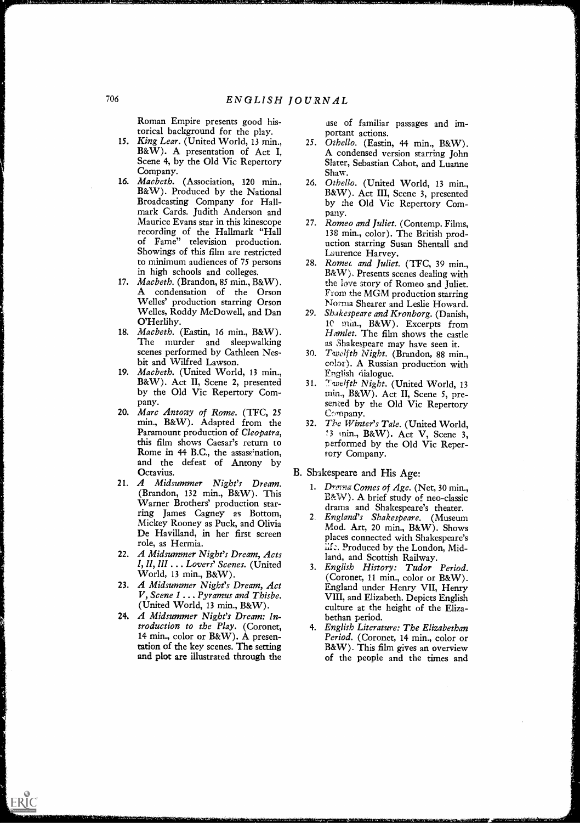Roman Empire presents good historical background for the play.

- 15. King Lear. (United World, 13 min., B&W). A presentation of Act I, Scene 4, by the Old Vic Repertory Company.
- 16. Macbeth. (Association, 120 min., B&W). Produced by the National Broadcasting Company for Hallmark Cards. Judith Anderson and Maurice Evans star in this kinescope<br>recording of the Hallmark "Hall of Fame" television production. Showings of this film are restricted to minimum audiences of 75 persons in high schools and colleges.
- 17. Macbeth. (Brandon, 85 min., B&W). A condensation of the Orson Welles' production starring Orson Welles, Roddy McDowell, and Dan O'Herlihy.
- 18. Macbeth. (Eastin, 16 min., B&W). The murder and sleepwalking scenes performed by Cathleen Nesbit and Wilfred Lawson.
- 19. Macbeth. (United World, 13 min., B&W). Act II, Scene 2, presented by the Old Vic Repertory Company.
- 20. *Marc Antony of Rome.* (TFC, 25 min., B&W). Adapted from the Paramount production of Cleopatra, this film shows Caesar's return to Rome in 44 B.C., the assassination, and the defeat of Antony by Octavius.
- 21. A Midsummer Night's Dream. (Brandon, 132 min., B&W). This Warner Brothers' production starring James Cagney as Bottom, Mickey Rooney as Puck, and Olivia De Havilland, in her first screen role, as Hermia.
- 22. A Midsummer Night's Dream, Acts I, II, III . Lovers' Scenes. (United World, 13 min., B&W).
- 23. A Midsummer Night's Dream, Act V, Scene 1 . . Pyramus and Thisbe. (United World, 13 min., B&W).
- 24. A Midsummer Night's Dream: Introduction to the Play. (Coronet, 14 min., color or B&W). A presentation of the key scenes. The setting and plot are illustrated through the

ERIC

ase of familiar passages and important actions.

NERIMPIRAL IS NERIM IS THAN THE COMMISSION OF THE COMMISSION OF THE COMMISSION OF THE COMMISSION OF THE COMMISSION

- 25. Othello. (Eastin, 44 min., B&W). A condensed version starring John Slater, Sebastian Cabot, and Luanne Shaw.
- 26. Othello. (United World, 13 min., B&W). Act III, Scene 3, presented by the Old Vic Repertory Company.
- 27. Romeo and Juliet. (Contemp. Films, 138 min., color). The British production starring Susan Shentall and Laurence Harvey.
- 28. Romet and Juliet. (TFC, 39 min., B&W). Presents scenes dealing with the love story of Romeo and Juliet. From the MGM production starring Norma Shearer and Leslie Howard.
- Shakespeare and Kronborg. (Danish, <sup>10</sup> Mill., B&W). Excerpts from Hamlet. The film shows the castle as Shakespeare may have seen it.
- 30. Twelfth Night. (Brandon, 88 min., color). A Russian production with English dialogue.
- Twelfth Night. (United World, 13 min., B&W). Act II, Scene 5, presemed by the Old Vic Repertory Company.
- 32. The Winter's Tale. (United World, 3 min., B&W). Act V, Scene 3, performed by the Old Vic Repertory Company.

# B. Shakespeare and His Age:

- 1. Drawa Comes of Age. (Net, 30 min., B&W). A brief study of neo-classic drama and Shakespeare's theater.
- 2. England's Shakespeare. (Museum Mod. Art, 20 min., B&W). Shows places connected with Shakespeare's Produced by the London, Midland, and Scottish Railway.
- 3. English History: Tudor Period. (Coronet, 11 min., color or B&W). England under Henry VII, Henry VIII, and Elizabeth. Depicts English culture at the height of the Elizabethan period.
- 4. English Literature: The Elizabethan Period. (Coronet, 14 min., color or B&W). This film gives an overview of the people and the times and

merman for the state of the state of the state of the state of the state of the state of the state of the state of the state of the state of the state of the state of the state of the state of the state of the state of the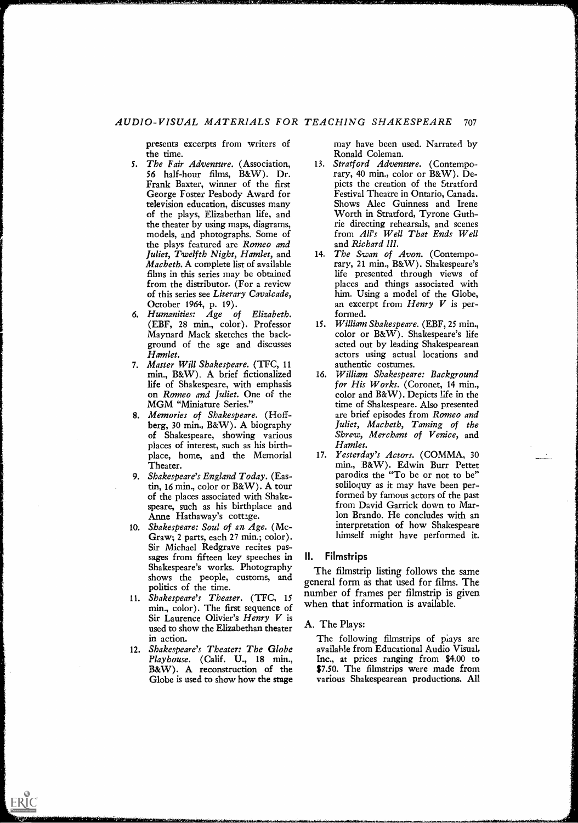# AUDIO-VISUAL MATERIALS FOR TEACHING SHAKESPEARE <sup>707</sup>

presents excerpts from writers of the time.

- 5. The Fair Adventure. (Association, 56 half-hour films, B&W). Dr. Frank Baxter, winner of the first George Foster Peabody Award for television education, discusses many of the plays, Elizabethan life, and the theater by using maps, diagrams, models, and photographs. Some of the plays featured are Romeo and Juliet, Twelfth Night, Hamlet, and Macbeth. A complete list of available films in this series may be obtained from the distributor, (For a review of this series see Literary Cavalcade, October 1964, p. 19).
- 6. Humanities: Age of Elizabeth. (EBF, 28 min., color). Professor Maynard Mack sketches the background of the age and discusses Hamlet.
- 7. Master Will Shakespeare. (TFC, 11 min., B&W). A brief fictionalized life of Shakespeare, with emphasis on Romeo and Juliet. One of the MGM "Miniature Series."
- 8. Memories of Shakespeare. (Hoffberg, 30 min., B&W). A biography of Shakespeare, showing various places of interest, such as his birthplace, home, and the Memorial Theater.
- 9. Shakespeare's England Today. (Eastin, 16 min., color or B&W). A tour of the places associated with Shakespeare, such as his birthplace and Anne Hathaway's cottage.
- 10. Shakespeare: Soul of an Age. (Mc-Graw; 2 parts, each 27 min.; color). Sir Michael Redgrave recites passages from fifteen key speeches in II. Shakespeare's works. Photography shows the people, customs, and politics of the time.
- 11. Shakespeare's Theater. (TFC, <sup>15</sup> min., color). The first sequence of Sir Laurence Olivier's Henry V is used to show the Elizabethan theater in action.
- 12. Shakespeare's Theater: The Globe Playhouse. (Calif. U., 18 min., B&W). A reconstruction of the Globe is used to show how the stage

ERIC

may have been used. Narrated by Ronald Coleman.

- 13. Stratford Adventure. (Contemporary, 40 min., color or B&W). Depicts the creation of the Stratford Festival Theatre in Ontario, Canada. Shows Alec Guinness and Irene Worth in Stratford, Tyrone Guthrie directing rehearsals, and scenes from All's Well That Ends Well and Richard III.
- 14. The Swan of Avon. (Contemporary, 21 min., B&W). Shakespeare's life presented through views of places and things associated with him. Using a model of the Globe, an excerpt from  $Henry V$  is performed.
- 15. William Shakespeare. (EBF, 25 min., color or B&W). Shakespeare's life acted out by leading Shakespearean actors using actual locations and authentic costumes.
- 16. William Shakespeare: Background for His Works. (Coronet, 14 min., color and B&W). Depicts Life in the time of Shakespeare. Also presented are brief episodes from Romeo and Juliet, Macbeth, Taming of the Shrew, Merchant of Venice, and Hamlet.
- 17. Yesterday's Actors. (COMMA, 30 min., B&W). Edwin Burr Pettet parodies the "To be or not to be" soliloquy as it may have been performed by famous actors of the past from David Garrick down to Marlon Brando. He concludes with an interpretation of how Shakespeare himself might have performed it.

#### **Filmstrips**

The filmstrip listing follows the same general form as that used for films. The number of frames per filmstrip is given when that information is available.

#### A. The Plays:

The following filmstrips of plays are available from Educational Audio Visual, Inc., at prices ranging from \$4.00 to \$7.50. The filmstrips were made from various Shakespearean productions. All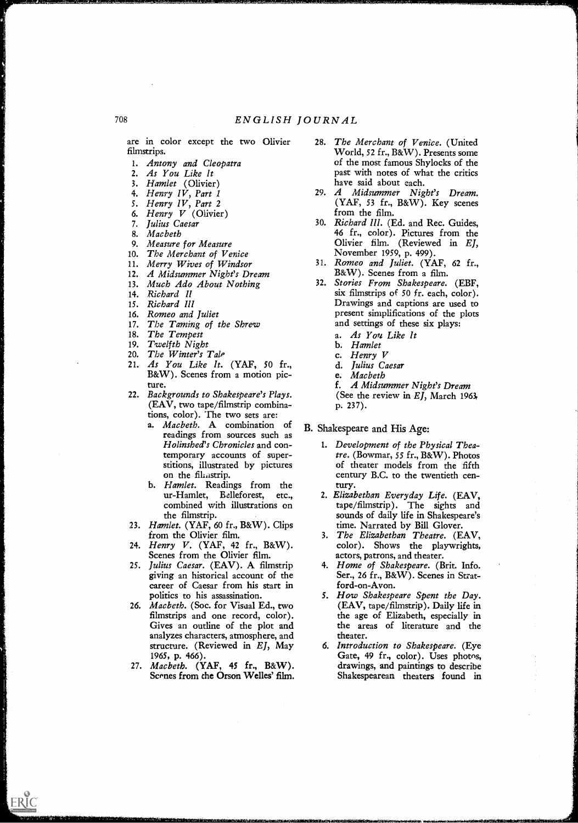are in color except the two Olivier filmstrips.

- 1. Antony and Cleopatra
- 2. As You Like It
- 3. Hamlet (Olivier)
- 4. Henry IV, Part I
- 5. Henry IV, Part 2
- 6. Henry V (Olivier)
- 7. Julius Caesar
- 8. Macbeth
- 9. Measure for Measure
- 10. The Merchant of Venice
- 11. Merry Wives of Windsor
- 12. A Midsummer Night's Dream
- 13. Much Ado About Nothing
- 14. Richard II
- 15. Richard Ill
- 16. Romeo and Juliet
- 17. The Taming of the Shrew
- 18. The Tempest
- 19. Twelfth Night
- 20. The Winter's Tale
- 21. As You Like It. (YAF, 50 fr., B&W). Scenes from a motion picture.
- 22. Backgrounds to Shakespeare's Plays. (EAV, two tape/filmstrip combinations, color). The two sets are:
	- a. Macbeth. A combination of readings from sources such as Holinshed's Chronicles and contemporary accounts of superstitions, illustrated by pictures on the fikastrip.
	- b. *Hamlet*. Readings from the ur-Hamlet, Belleforest, etc., Belleforest, etc., combined with illustrations on the filmstrip.
- 23. Hamlet. (YAF, 60 fr., B&W). Clips from the Olivier film.
- 24. Henry V. (YAF, 42 fr., B&W). Scenes from the Olivier film.
- 25. Julius Caesar. (EAV). A filmstrip giving an historical account of the career of Caesar from his start in politics to his assassination.
- 26. Macbeth. (Soc. for Visaal Ed., two filmstrips and one record, color). Gives an outline of the plot and analyzes characters, atmosphere, and structure. (Reviewed in EJ, May 1965, p. 466).
- 27. Macbeth. (YAF, 45 fr., B&W). Scenes from the Orson Welles' film.

ERIC

 $\sim 10^7$ 

- The Merchant of Venice. (United World, 52 fr., B&W). Presents some of the most famous Shylocks of the past with notes of what the critics have said about each.
- 29. A Midsummer Night's Dream. (YAF, 53 fr., B&W). Key scenes from the film.
- 30. Richard III. (Ed. and Rec. Guides, 46 fr., color). Pictures from the Olivier film. (Reviewed in EJ, November 1959, p. 499).
- 31. Romeo and Juliet. (YAF, 62 fr., B&W). Scenes from a film.
- 32. Stories From Shakespeare. (EBF, six filmstrips of 50 fr. each, color). Drawings and captions are used to present simplifications of the plots and settings of these six plays:
	- a. As You Like It
	- b. Hamlet
	- c. Henry V
	- d. Julius Caesar
	- e. Macbeth

f. A Midsummer Night's Dream (See the review in EJ, March 1963, p. 237).

B. Shakespeare and His Age:

- 1. Development of the Physical Theatre. (Bowmar, 55 fr., B&W). Photos of theater models from the fifth century B.C. to the twentieth century.
- 2. Elizabethan Everyday Life. (EAV, tape/filmstrip). The sights and sounds of daily life in Shakespeare's time. Narrated by Bill Glover.
- 3. The Elizabethan Theatre. (EAV, color). Shows the playwrights, actors, patrons, and theater.
- Home of Shakespeare. (Brit. Info. Ser., 26 fr., B&W). Scenes in Stratford-on-Avon.
- 5. How Shakespeare Spent the Day. (EAV, tape/filmstrip). Daily life in the age of Elizabeth, especially in the areas of literature and the theater.
- 6. Introduction to Shakespeare. (Eye Gate, 49 fr., color). Uses photos, drawings, and paintings to describe Shakespearean theaters found in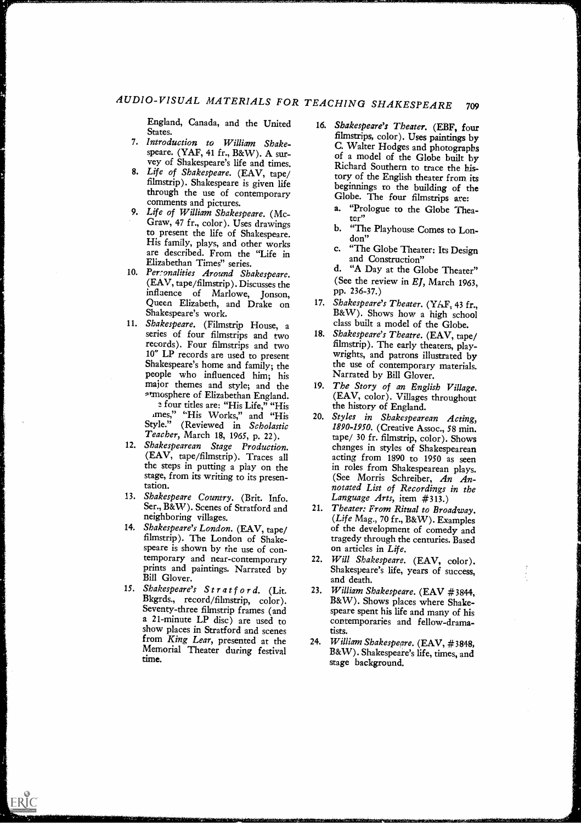England, Canada, and the United States.

- 7. Introduction to William Shakevey of Shakespeare's life and times.
- 8. Life of Shakespeare. (EAV, tape/ filmstrip). Shakespeare is given life comments and pictures.
- 9. Life of William Shakespeare. (Mc-Graw, 47 fr., color). Uses drawings to present the life of Shakespeare. His family, plays, and other works are described. From the "Life in c. Elizabethan Times" series.
- 10. Personalities Around Shakespeare. (EAV, tape /filmstrip). Discusses the influence of Marlowe, Jonson, Queen Elizabeth, and Drake on 17. Shakespeare's Theater. (YAF, 43 fr., Shakespeare's work.
- 11. Shakespeare. (Filmstrip House, a series of four filmstrips and two records). Four filmstrips and two 10" LP records are used to present<br>Shakespeare's home and family; the people who influenced him; his major themes and style; and the atmosphere of Elizabethan England. four titles are: "His Life," "His imes," "His Works," and "His

Style." (Reviewed in Scholastic Teacher, March 18, 1965, p. 22).

- 12. Shakespearean Stage Production. (EAV, tape/filmstrip). Traces all stage, from its writing to its presentation.
- 13. Shakespeare Country. (Brit. Info. Ser., B&W). Scenes of Stratford and
- neighboring villages.<br>14. Shakespeare's London. (EAV, tape/ filmstrip). The London of Shakespeare is shown by the use of contemporary and near-contemporary prints and paintings. Narrated by Bill Glover.
- 15. Shakespeare's Stratford. (Lit. Bkgrds., record/filmstrip, color). Seventy-three filmstrip frames (and a 21-minute LP disc) are used to show places in Stratford and scenes from King Lear, presented at the Memorial Theater during festival time.

ERIC

- Introduction to William Shake-<br>speare. (YAF, 41 fr., B&W). A sur-<br>of a model of the Clobe built by through the use of contemporary<br>through the use of contemporary<br> $\frac{1}{2}$  Clobe The four filmetring are: 16. Shakespeare's Theater. (EBF, four filmstrips, color). Uses paintings by of a model of the Globe built by Richard Southern to trace the history of the English theater from, its Globe. The four filmstrips are:
	- a. "Prologue to the Globe Theater"
	- b. "The Playhouse Comes to London"
	- c. "The Globe Theater: Its Design and Construction"
	- d. "A Day at the Globe Theater" (See the review in EJ, March 1963, pp. 236-37.)
	- $18\text{eW}$ . Shows how a high school class built a model of the Globe.
	- 18. Shakespeare's Theatre. (EAV, tape/ filmstrip). The early theaters, playwrights, and patrons illustrated by the use of contemporary materials. Narrated by Bill Glover.
	- The Story of an English Village. (EAV, color). Villages throughout the history of England.
- the steps in putting a play on the in roles from Shakespearean plays. 20. Styles in Shakespearean Acting, 1890-1950. (Creative Assoc., 58 min. tape/ 30 fr. filmstrip, color). Shows changes in styles of Shakespearean acting from 1890 to 1950 as seen (See Morris Schreiber, An Annotated List of Recordings in the Language Arts, item #313.)
	- 21. Theater: From Ritual to Broadway. (*Life Mag.*, 70 fr.,  $B\&W$ ). Examples of the development of comedy and tragedy through the centuries. Based on articles in Life.
	- Will Shakespeare. (EAV, color). Shakespeare's life, years of success, and death.
	- 23. William Shakespeare. (EAV #3844, B&W). Shows places where Shakespeare spent his life and many of his contemporaries and fellow-dramatists.
	- 24. William Shakespeare. (EAV, #3848, B&W). Shakespeare's life, times, and stage background.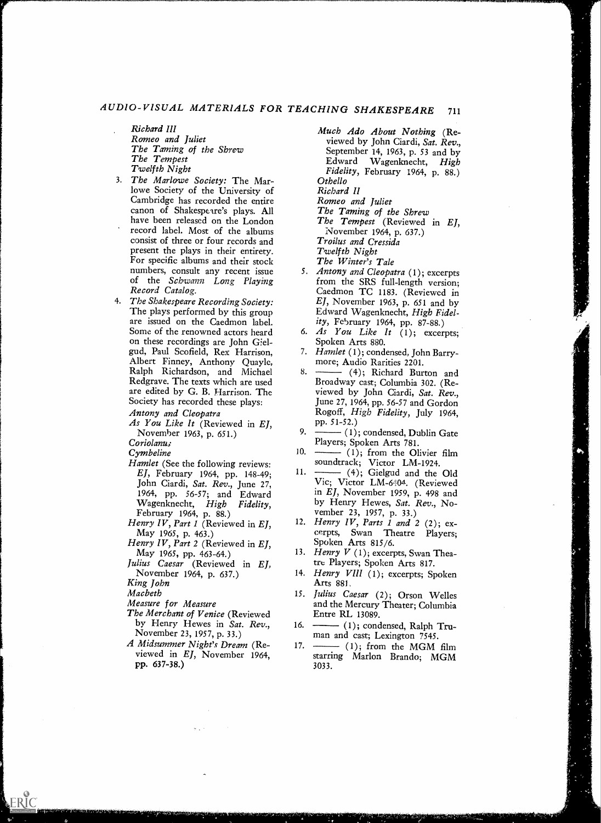# AUDIO-VISUAL MATERIALS FOR TEACHING SHAKESPEARE <sup>711</sup>

- Richard ill Romeo and Juliet The Taming of the Shrew The Tempest Twelfth Night
- 3. The Marlowe Society: The Marlowe Society of the University of Cambridge has recorded the entire canon of Shakespeare's plays. All have been released on the London record label. Most of the albums consist of three or four records and present the plays in their entirety. For specific albums and their stock numbers, consult any recent issue of the Schwann Long Playing Record Catalog.
- 4. The Shakespeare Recording Society: The plays performed by this group are issued on the Caedmon label. Some of the renowned actors heard on these recordings are John Gielgud, Paul Scofield, Rex Harrison, Albert Finney, Anthony Quayle, Ralph Richardson, and Michael Redgrave. The texts which are used are edited by G. B. Harrison. The Society has recorded these plays:
	- Antony and Cleopatra
	- As You Like It (Reviewed in EJ, November 1963, p. 651.)

Coriolanus

- Cymbeline
- Hamlet (See the following reviews:<br>EL February 1964 pp. 148.40. 11. EJ, February 1964, pp. 148-49; John Ciardi, Sat. Rev., June 27, Wagenknecht, *High Fidelity*,<br>February 1964, p. 88.)
- Henry IV, Part 1 (Reviewed in EJ, May 1965, p. 463.)
- Henry IV, Part 2 (Reviewed in EJ, May 1965, pp. 463-64.)
- Julius Caesar (Reviewed in EJ, November 1964, p. 637.)

King John

ERIC

- Macbeth
- Measure for Measure
- The Merchant of Venice (Reviewed by Henry Hewes in Sat. Rev., 16. -November 23, 1957, p. 33.)
- A Midsummer Night's Dream (Reviewed in EJ, November 1964, pp. 637-38.)

Much Ado About Nothing (Reviewed by John Ciardi, Sat. Rev., September 14, 1963, p. 53 and by Edward Wagenknecht, High Fidelity, February 1964, p. 88.) Othello

Richard II

Romeo and Juliet

- The Taming of the Shrew
- The Tempest (Reviewed in EJ, November 1964, p. 637.)

Troilus and Cressida

Twelfth Night The Winter's Tale

- 
- 5. Antony and Cleopatra (1); excerpts from the SRS full-length version; Caedmon TC 1183. (Reviewed in  $EJ$ , November 1963, p. 651 and by Edward Wagenknecht, High Fidelity, February 1964, pp. 87-88.)
- 6. As You Like It  $(1)$ ; excerpts; Spoken Arts 880.
- 7. Hamlet (1); condensed, John Barrymore; Audio Rarities 2201.
- $8. \longrightarrow (4);$  Richard Burton and Broadway cast; Columbia 302. (Reviewed by John Ciardi, Sat. Rev., June 27, 1964, pp. 56-57 and Gordon Rogoff, High Fidelity, July 1964, pp. 51-52.)
- 9.  $\leftarrow$  (1); condensed, Dublin Gate Players; Spoken Arts 781.
- $10. \longrightarrow (1);$  from the Olivier film soundtrack; Victor LM-1924.<br>
(4); Gielgud and the Old
- 1964, pp. 56-57; and Edward in EJ, November 1959, p. 498 and Wagenknecht, High Fidelity, by Henry Hewes, Sat. Rev., No-Vic; Victor LM-6404. (Reviewed by Henry Hewes, Sat. Rev., November 23, 1957, p. 33.)
	- 12. Henry IV, Parts 1 and 2 (2); excerpts, Swan Theatre Players; Spoken Arts 815/6.
	- 13. Henry  $V$  (1); excerpts, Swan Theatre Players; Spoken Arts 817.
	- 14. Henry VIII (1); excerpts; Spoken Arts 881.
	- 15. Julius Caesar (2); Orson Welles and the Mercury Theater; Columbia Entre RL 13089.
	- $-$  (1); condensed, Ralph Truman and cast; Lexington 7545.
	- 17.  $\longrightarrow$  (1); from the MGM film starring Marlon Brando; MGM 3033.

A GET TENDE ELECTRICIAN CONTRACTO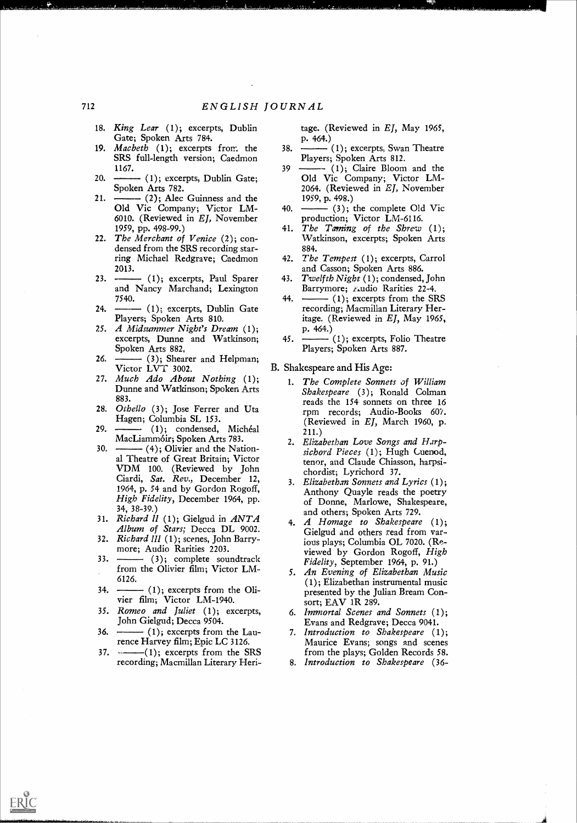- 18. King Lear (1); excerpts, Dublin Gate; Spoken Arts 784.
- 19. *Macbeth*  $(1)$ ; excerpts from the 38.  $-$ SRS full-length version; Caedmon 1167.
- $20. \ \ \text{---}$  (1); excerpts, Dublin Gate; Spoken Arts 782.
- 21.  $\frac{1}{2}$  (2); Alec Guinness and the Old Vic Company; Victor LM-6010. (Reviewed in  $EJ$ , November 1959, pp. 498-99.)
- 22. The Merchant of Venice (2); condensed from the SRS recording starring Michael Redgrave; Caedmon 2013.
- 23.  $\leftarrow$  (1); excerpts, Paul Sparer 43. and Nancy Marchand; Lexington 7540.
- 24.  $\longrightarrow$  (1); excerpts, Dublin Gate Players; Spoken Arts 810.
- 25, A Midsummer Night's Dream (1); excerpts, Dunne and Watkinson; Spoken Arts 882,
- 26. (3); Shearer and Helpman; Victor LVT 3002.
- 27. Much Ado About Nothing (1); Dunne and Watkinson; Spoken Arts 883.
- 28. Othello (3); Jose Ferrer and Uta<br>Hagen; Columbia SL 153.
- $29.$   $\longrightarrow$   $(1)$ ; condensed, Michéal MacLiamm6ir; Spoken Arts 783.
- $30. \ \ \ \frac{1}{100}$  (4); Olivier and the National Theatre of Great Britain; Victor VDM 100. (Reviewed by John Ciardi, Sat. Rev., December 12, 1964, p. 54 and by Gordon Rogoff, High Fidelity, December 1964, pp. 34, 38-39.)
- $31.$  Richard II (1); Gielgud in  $ANTA$  and others; Spoken Arts 729. Album of Stars; Decca DL 9002.
- 32. Richard III (1); scenes, John Barrymore; Audio Rarities 2203.
- $33. \longrightarrow (3);$  complete soundtrack from the Olivier film; Victor LM-6126.
- $34. \ \ \text{-}$  (1); excerpts from the Olivier film; Victor LM-1940.
- 35. Romeo and Juliet (1); excerpts, John Gielgud; Decca 9504.
- 36.  $\leftarrow$  (1); excerpts from the Laurence Harvey film; Epic LC 3126.
- $37.$   $---(1)$ ; excerpts from the SRS recording; Macmillan Literary Heri-

ERIC

tage. (Reviewed in EJ, May 1965, p. 464.)

- (1); excerpts, Swan Theatre Players; Spoken Arts 812.
- $39 \longrightarrow (1);$  Claire Bloom and the Old Vic Company; Victor LM-2064. (Reviewed in EJ, November 1959, p. 498.)
- 40.  $\leftarrow$  (3); the complete Old Vic production; Victor LM-6116.
- 41. The Taming of the Shrew  $(1)$ ; Watkinson, excerpts; Spoken Arts 884.
- 42. *The Tempest* (1); excerpts, Carrol and Casson; Spoken Arts 886.
- Twelfth Night  $(1)$ ; condensed, John Barrymore; Audio Rarities 22-4.
- 44.  $\longrightarrow$  (1); excerpts from the SRS recording; Macmillan Literary Heritage. (Reviewed in EJ, May 1965, p. 464.)
- $-$  (1); excerpts, Folio Theatre Players; Spoken Arts 887.
- B. Shakespeare and His Age:
	- 1. The Complete Sonnets of William Shakespeare (3); Ronald Colman reads the 154 sonnets on three 16 rpm records; Audio-Books 607. (Reviewed in  $EJ$ , March 1960, p. 211.)
	- 2. Elizabethan Love Songs and Harpsichord Pieces (1); Hugh Cuenod, tenor, and Claude Chiasson, harpsichordist; Lyrichord 37.
	- 3. Elizabethan Sonnets and Lyrics (1); Anthony Quayle reads the poetry of Donne, Marlowe, Shakespeare,
	- 4. A Homage to Shakespeare  $(1);$ Gielgud and others read from various plays; Columbia OL 7020. (Reviewed by Gordon Rogoff, High Fidelity, September 1964, p. 91.)
	- 5. An Evening of Elizabethan Music (1); Elizabethan instrumental music presented by the Julian Bream Consort; EAV 1R 289.
	- 6. Immortal Scenes and Sonnets (1); Evans and Redgrave; Decca 9041.
	- 7. Introduction to Shakespeare (1); Maurice Evans; songs and scenes from the plays; Golden Records 58.
	- 8. Introduction to Shakespeare (36-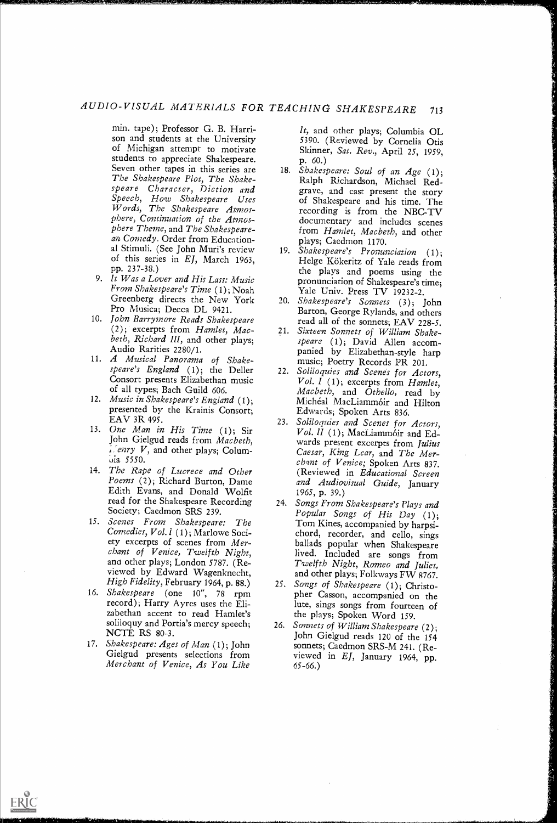# AUDIO-VISUAL MATERIALS FOR TEACHING SHAKESPEARE <sup>713</sup>

min. tape); Professor G. B. Harrison and students at the University of Michigan attempt to motivate students to appreciate Shakespeare. Seven other tapes in this series are The Shakespeare Plot, The Shakespeare Character, Diction and Speech, How Shakespeare Uses Words, The Shakespeare Atmosphere, Continuation of the Atmosphere Theme, and The Shakespearean Comedy. Order from Educational Stimuli. (See John Muri's review of this series in EJ, March 1963, pp. 237-38.)

- 9. It Was a Lover and His Lass: Music<br>From Shakespeare's Time (1); Noah Greenberg directs the New York Pro Musica; Decca DL 9421.
- 10. John Barrymore Reads Shakespeare (2); excerpts from Hamlet, Macbeth, Richard III, and other plays; Audio Rarities 2280/1.
- 11. A Musical Panorama of Shakespeare's England (1); the Deller Consort presents Elizabethan music of all types; Bach Guild 606.
- 12. Music in Shakespeare's England (1); presented by the Krainis Consort; EAV 3R 495.
- $EAV 3K 495.$ <br>13. One Man in His Time (1); Sir John Gielgud reads from Macbeth,  $L$  enry  $V$ , and other plays; Columuia 5550.
- 14. The Rape of Lucrece and Other Poems (2); Richard Burton, Dame Edith Evans, and Donald Wolfit read for the Shakespeare Recording 24. Songs From Shakespeare's Plays and Society; Caedmon SRS 239.
- 15. Scenes From Shakespeare: The Comedies, Vol. I (1); Marlowe Society excerpts of scenes from Merchant of Venice, Twelfth Night, and other plays; London 5787. (Reviewed by Edward Wagenknecht, High Fidelity, February 1964, p. 88.)
- 16. Shakespeare (one 10", 78 rpm record); Harry Ayres uses the Eli- zabethan accent to read Hamlet's soliloquy and Portia's mercy speech; NCTE RS 80-3.
- 17. Shakespeare: Ages of Man (1); John Merchant of Venice, As You Like

ERIC

It, and other plays; Columbia OL 5390. (Reviewed by Cornelia Otis Skinner, Sat. Rev., April 25, 1959, p. 60.)

الكوراني المتعارف المراكب المراكب

- 18. Shakespeare: Soul of an Age (1); Ralph Richardson, Michael Redgrave, and cast present the story of Shakespeare and his time. The recording is from the NBC-TV documentary and includes scenes from Hamlet, Macbeth, and other plays; Caedmon 1170.
- 19. Shakespeare's Pronunciation (1); Helge Kökeritz of Yale reads from the plays and poems using the pronunciation of Shakespeare's time; Yale Univ. Press TV 19232-2.
- 20. Shakespeare's Sonnets (3); John Barton, George Rylands, and others read all of the sonnets; EAV 228-5.
- 21. Sixteen Sonnets of William Shakespeare (1); David Allen accompanied by Elizabethan-style harp music; Poetry Records PR 201.
- 22. Soliloquies and Scene's for Actors, Vol. 1 (1); excerpts from Hamlet, Macbeth, and Othello, read by Michéal MacLiammóir and Hilton Edwards; Spoken Arts 836.
- Soliloquies and Scenes for Actors, Vol. II (1); MacLiammóir and Edwards present excerpts from Julius Caesar, King Lear, and The Merchant of Venice; Spoken Arts 837. (Reviewed in Educational Screen and Audiovisual Guide, January 1965, p. 39.)
- Popular Songs of His Day (1); Tom Kines, accompanied by harpsi-<br>chord, recorder, and cello, sings ballads popular when Shakespeare lived. Included are songs from Twelfth Night, Romeo and Juliet, and other plays; Folkways FW 8767.
- 25. Songs of Shakespeare (1); Christopher Casson, accompanied on the lute, sings songs from fourteen of the plays; Spoken Word 159.
- Shakespeare: Ages of Man (1); John sonnets; Caedmon SRS-M 241. (Re-<br>Gielgud presents selections from viewed in *EI*. January 1964 pp. 26. Sonnets of William Shakespeare (2); John Gielgud reads 120 of the 154 viewed in  $EJ$ , January 1964, pp. 65-66.)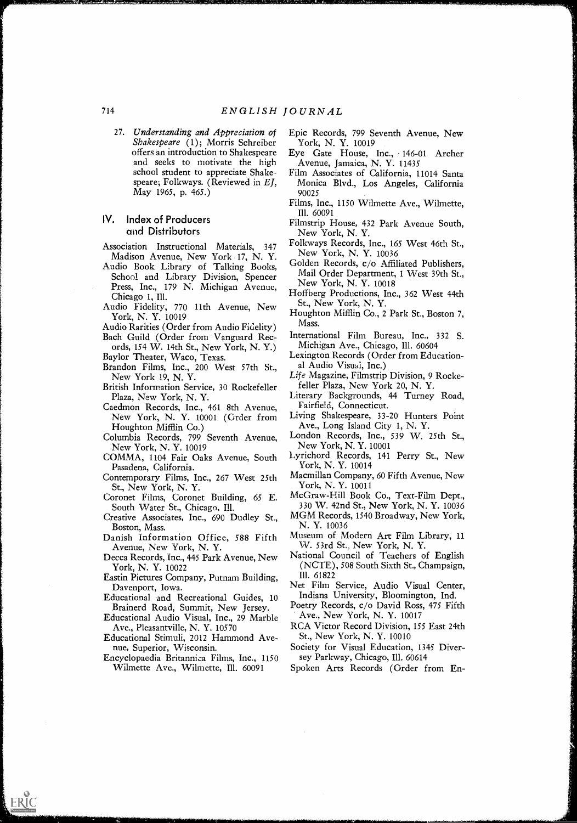27. Understanding and Appreciation of Epic Shakespeare (1); Morris Schreiber offers an introduction to Shakespeare and seeks to motivate the high school student to appreciate Shakespeare; Folkways. (Reviewed in El, May 1965, p. 465.)

### IV. Index of Producers and Distributors

- Association Instructional Materials, 347 Madison Avenue, New York 17, N. Y.
- Audio Book Library of Talking Books, School and Library Division, Spencer Press, Inc., 179 N. Michigan Avenue, Chicago 1, Ill.
- Audio Fidelity, 770 11th Avenue, New York, N. Y. 10019
- Audio Rarities (Order from Audio Fidelity)
- Bach Guild (Order from Vanguard Records, 154 W. 14th St., New York, N. Y.)
- Baylor Theater, Waco, Texas. Brandon Films, Inc., 200 West 57th St.,
- New York 19, N. Y.
- British Information Service, 30 Rockefeller Plaza, New York, N. Y.
- Caedmon Records, Inc., 461 8th Avenue, New York, N. Y. 10001 (Order from Houghton Mifflin Co.)
- Columbia Records, 799 Seventh Avenue, New York, N. Y. 10019
- COMMA, 1104 Fair Oaks Avenue, South Pasadena, California.
- Contemporary Films, Inc., 267 West 25th St., New York, N. Y.
- Coronet Films, Coronet Building, 65 E. South Water St., Chicago, Ill.
- Creative Associates, Inc., 690 Dudley St., Boston, Mass.
- Danish Information Office, 588 Fifth Avenue, New York, N. Y.
- Decca Records, Inc., 445 Park Avenue, New York, N. Y. 10022
- Eastin Pictures Company, Putnam Building, Davenport, Iowa.
- Educational and Recreational Guides, 10 Brainerd Road, Summit, New Jersey.
- Educational Audio Visual, Inc., 29 Marble Ave., Pleasantville, N. Y. 10570
- Educational Stimuli, 2012 Hammond Avenue, Superior, Wisconsin.
- Encyclopaedia Britannica Films, Inc., 1150 Wilmette Ave., Wilmette, Ill. 60091

4/,

ERIC

- Epic Records, 799 Seventh Avenue, New York, N. Y. 10019
- Eye Gate House, Inc., 146-01 Archer Avenue, Jamaica, N. Y. 11435
- Film Associates of California, 11014 Santa Monica Blvd., Los Angeles, California 90025
- Films, Inc., 1150 Wilmette Ave., Wilmette, Ill. 60091
- Filmstrip House, 432 Park Avenue South, New York, N. Y.
- Folkways Records, Inc., 165 West 46th St., New York, N. Y. 10036
- Golden Records, c/o Affiliated Publishers, Mail Order Department, 1 West 39th St., New York, N. Y. 10018
- Hoffberg Productions, Inc., 362 West 44th St., New York, N. Y.
- Houghton Mifflin Co., 2 Park St., Boston 7, Mass.
- International Film Bureau, Inc., 332 S. Michigan Ave., Chicago, Ill. 60604
- Lexington Records (Order from Educational Audio Visual, Inc.)
- Life Magazine, Filmstrip Division, 9 Rockefeller Plaza, New York 20, N. Y.
- Literary Backgrounds, 44 Turney Road, Fairfield, Connecticut.
- Living Shakespeare, 33-20 Hunters Point Ave., Long Island City 1, N. Y.
- London Records, Inc., 539 W. 25th St., New York, N. Y. 10001
- Lyrichord Records, 141 Perry St., New York, N. Y. 10014
- Macmillan Company, 60 Fifth Avenue, New York, N. Y. 10011
- McGraw-Hill Book Co., Text-Film Dept., 330 W. 42nd St., New York, N. Y. 10036
- MGM Records, 1540 Broadway, New York, N. Y. 10036
- Museum of Modern Art Film Library, 11 W. 53rd St., New York, N. Y.
- National Council of Teachers of English (NCTE), 508 South Sixth St., Champaign, Ill. 61822
- Net Film Service, Audio Visual Center, Indiana University, Bloomington, Ind.
- Poetry Records, c/o David Ross, 475 Fifth Ave., New York, N. Y. 10017
- RCA Victor Record Division, 155 East 24th St., New York, N. Y. 10010
- Society for Visual Education, 1345 Diversey Parkway, Chicago, Ill. 60614
- Spoken Arts Records (Order from En-

714